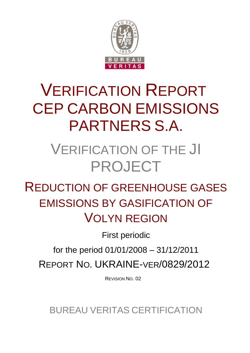

# VERIFICATION REPORT CEP CARBON EMISSIONS PARTNERS S.A.

# VERIFICATION OF THE JI PROJECT

REDUCTION OF GREENHOUSE GASES EMISSIONS BY GASIFICATION OF VOLYN REGION

First periodic

for the period 01/01/2008 – 31/12/2011

REPORT NO. UKRAINE-VER/0829/2012

REVISION NO. 02

BUREAU VERITAS CERTIFICATION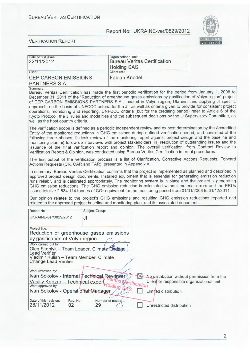

| Date of first issue:<br>22/11/2012                                                                                                                                                                                                                                                                                                                                                                                                                                                                                                                                                                                                                                                                                                       |                | Organizational unit:<br><b>Bureau Veritas Certification</b> |           |                           |                                             |  |
|------------------------------------------------------------------------------------------------------------------------------------------------------------------------------------------------------------------------------------------------------------------------------------------------------------------------------------------------------------------------------------------------------------------------------------------------------------------------------------------------------------------------------------------------------------------------------------------------------------------------------------------------------------------------------------------------------------------------------------------|----------------|-------------------------------------------------------------|-----------|---------------------------|---------------------------------------------|--|
| Client:                                                                                                                                                                                                                                                                                                                                                                                                                                                                                                                                                                                                                                                                                                                                  |                | <b>Holding SAS</b><br>Client ref.:                          |           |                           |                                             |  |
| <b>CEP CARBON EMISSIONS</b><br>PARTNERS S.A.                                                                                                                                                                                                                                                                                                                                                                                                                                                                                                                                                                                                                                                                                             |                | <b>Fabian Knodel</b>                                        |           |                           |                                             |  |
| Summary:<br>Bureau Veritas Certification has made the first periodic verification for the period from January 1, 2008 to<br>December 31, 2011 of the "Reduction of greenhouse gases emissions by gasification of Volyn region" project<br>of CEP CARBON EMISSIONS PARTNERS S.A., located in Volyn region, Ukraine, and applying JI specific<br>approach, on the basis of UNFCCC criteria for the JI, as well as criteria given to provide for consistent project<br>operations, monitoring and reporting. UNFCCC criteria (but for the crediting period) refer to Article 6 of the<br>Kyoto Protocol, the JI rules and modalities and the subsequent decisions by the JI Supervisory Committee, as<br>well as the host country criteria. |                |                                                             |           |                           |                                             |  |
| The verification scope is defined as a periodic independent review and ex post determination by the Accredited<br>Entity of the monitored reductions in GHG emissions during defined verification period, and consisted of the<br>following three phases: i) desk review of the monitoring report against project design and the baseline and<br>monitoring plan; ii) follow-up interviews with project stakeholders; iii) resolution of outstanding issues and the<br>issuance of the final verification report and opinion. The overall verification, from Contract Review to<br>Verification Report & Opinion, was conducted using Bureau Veritas Certification internal procedures.                                                  |                |                                                             |           |                           |                                             |  |
| The first output of the verification process is a list of Clarification, Corrective Actions Requests, Forward<br>Actions Requests (CR, CAR and FAR), presented in Appendix A.                                                                                                                                                                                                                                                                                                                                                                                                                                                                                                                                                            |                |                                                             |           |                           |                                             |  |
| In summary, Bureau Veritas Certification confirms that the project is implemented as planned and described in<br>approved project design documents. Installed equipment that is essential for generating emission reduction<br>runs reliably and is calibrated appropriately. The monitoring system is in place and the project is generating<br>GHG emission reductions. The GHG emission reduction is calculated without material errors and the ERUs<br>issued totalize 2 634 114 tonnes of CO <sub>2</sub> equivalent for the monitoring period from 01/01/2008 to 31/12/2011.                                                                                                                                                       |                |                                                             |           |                           |                                             |  |
| Our opinion relates to the project's GHG emissions and resulting GHG emission reductions reported and<br>related to the approved project baseline and monitoring plan, and its associated documents.                                                                                                                                                                                                                                                                                                                                                                                                                                                                                                                                     |                |                                                             |           |                           |                                             |  |
| Report No.:                                                                                                                                                                                                                                                                                                                                                                                                                                                                                                                                                                                                                                                                                                                              | Subject Group: |                                                             |           |                           |                                             |  |
| UKRAINE-ver/0829/2012                                                                                                                                                                                                                                                                                                                                                                                                                                                                                                                                                                                                                                                                                                                    | JI             |                                                             |           |                           |                                             |  |
| Project title:<br>Reduction of greenhouse gases emissions                                                                                                                                                                                                                                                                                                                                                                                                                                                                                                                                                                                                                                                                                |                |                                                             |           |                           |                                             |  |
| by gasification of Volyn region                                                                                                                                                                                                                                                                                                                                                                                                                                                                                                                                                                                                                                                                                                          |                |                                                             |           |                           |                                             |  |
| Work carried out by:<br>Oleg Skoblyk - Team Leader, Climate Change<br>Lead Verifier<br>Vladimir Kulish - Team Member, Climate<br><b>Change Lead Verifier</b>                                                                                                                                                                                                                                                                                                                                                                                                                                                                                                                                                                             |                |                                                             |           |                           |                                             |  |
| Work reviewed by:                                                                                                                                                                                                                                                                                                                                                                                                                                                                                                                                                                                                                                                                                                                        |                |                                                             |           |                           |                                             |  |
| Ivan Sokolov - Internal Technical Reviewer                                                                                                                                                                                                                                                                                                                                                                                                                                                                                                                                                                                                                                                                                               |                |                                                             |           |                           | No distribution without permission from the |  |
| Vasiliy Kobzar - Technical expert.<br>Work approved by:                                                                                                                                                                                                                                                                                                                                                                                                                                                                                                                                                                                                                                                                                  |                |                                                             | ification |                           | Client or responsible organizational unit   |  |
| Ivan Sokolov - Operational Manager                                                                                                                                                                                                                                                                                                                                                                                                                                                                                                                                                                                                                                                                                                       |                |                                                             |           | Limited distribution      |                                             |  |
| Date of this revision:<br>Rev. No.:<br>28/11/2012<br>02                                                                                                                                                                                                                                                                                                                                                                                                                                                                                                                                                                                                                                                                                  | 29             | Number of pages:                                            |           | Unrestricted distribution |                                             |  |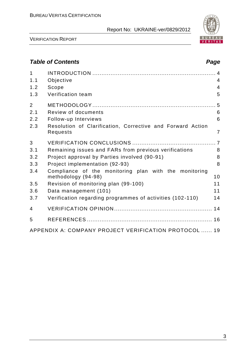

VERIFICATION REPORT

# *Table of Contents Page*

| $\mathbf{1}$<br>1.1 | Objective                                                                    | $\overline{4}$ |
|---------------------|------------------------------------------------------------------------------|----------------|
| 1.2                 | Scope                                                                        | $\overline{4}$ |
| 1.3                 | Verification team                                                            | 5              |
| $\overline{2}$      |                                                                              |                |
| 2.1                 | Review of documents                                                          | 6              |
| 2.2                 | Follow-up Interviews                                                         | 6              |
| 2.3                 | Resolution of Clarification, Corrective and Forward Action<br>Requests       | 7              |
| 3                   |                                                                              |                |
| 3.1                 | Remaining issues and FARs from previous verifications                        | 8              |
| 3.2                 | Project approval by Parties involved (90-91)                                 | 8              |
| 3.3                 | Project implementation (92-93)                                               | 8              |
| 3.4                 | Compliance of the monitoring plan with the monitoring<br>methodology (94-98) | 10             |
| 3.5                 | Revision of monitoring plan (99-100)                                         | 11             |
| 3.6                 | Data management (101)                                                        | 11             |
| 3.7                 | Verification regarding programmes of activities (102-110)                    | 14             |
| $\overline{4}$      |                                                                              |                |
| 5                   |                                                                              |                |
|                     | APPENDIX A: COMPANY PROJECT VERIFICATION PROTOCOL  19                        |                |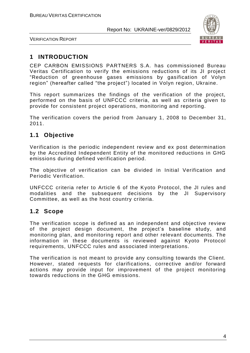

VERIFICATION REPORT

# **1 INTRODUCTION**

CEP CARBON EMISSIONS PARTNERS S.A. has commissioned Bureau Veritas Certification to verify the emissions reductions of its JI project "Reduction of greenhouse gases emissions by gasification of Volyn region" (hereafter called "the project") located in Volyn region, Ukraine.

This report summarizes the findings of the verification of the project, performed on the basis of UNFCCC criteria, as well as criteria given to provide for consistent project operations, monitoring and reporting.

The verification covers the period from January 1, 2008 to December 31, 2011.

# **1.1 Objective**

Verification is the periodic independent review and ex post determination by the Accredited Independent Entity of the monitored reductions in GHG emissions during defined verification period.

The objective of verification can be divided in Initial Verification and Periodic Verification.

UNFCCC criteria refer to Article 6 of the Kyoto Protocol, the JI rules and modalities and the subsequent decisions by the JI Supervisory Committee, as well as the host country criteria.

# **1.2 Scope**

The verification scope is defined as an independent and objective review of the project design document, the project's baseline study, and monitoring plan, and monitoring report and other relevant documents. The information in these documents is reviewed against Kyoto Protocol requirements, UNFCCC rules and associated interpretations.

The verification is not meant to provide any consulting towards the Client. However, stated requests for clarifications, corrective and/or forward actions may provide input for improvement of the project monitoring towards reductions in the GHG emissions.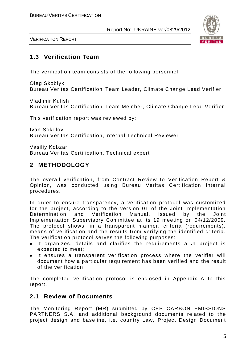

VERIFICATION REPORT

# **1.3 Verification Team**

The verification team consists of the following personnel:

Oleg Skoblyk Bureau Veritas Certification Team Leader, Climate Change Lead Verifier

Vladimir Kulish Bureau Veritas Certification Team Member, Climate Change Lead Verifier

This verification report was reviewed by:

Ivan Sokolov Bureau Veritas Certification, Internal Technical Reviewer

Vasiliy Kobzar Bureau Veritas Certification, Technical expert

# **2 METHODOLOGY**

The overall verification, from Contract Review to Verification Report & Opinion, was conducted using Bureau Veritas Certification internal procedures.

In order to ensure transparency, a verification protocol was customized for the project, according to the version 01 of the Joint Implementation Determination and Verification Manual, issued by the Joint Implementation Supervisory Committee at its 19 meeting on 04/12/2009. The protocol shows, in a transparent manner, criteria (requirements), means of verification and the results from verifying the identified criteria. The verification protocol serves the following purposes:

- It organizes, details and clarifies the requirements a JI project is expected to meet;
- It ensures a transparent verification process where the verifier will document how a particular requirement has been verified and the result of the verification.

The completed verification protocol is enclosed in Appendix A to this report.

# **2.1 Review of Documents**

The Monitoring Report (MR) submitted by CEP CARBON EMISSIONS PARTNERS S.A. and additional background documents related to the project design and baseline, i.e. country Law, Project Design Document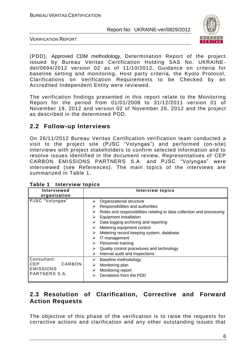

VERIFICATION REPORT

(PDD), Approved CDM methodology, Determination Report of the project issued by Bureau Veritas Certification Holding SAS No. UKRAINEdet/0694/2012 version 02 as of 11/10/2012, Guidance on criteria for baseline setting and monitoring, Host party criteria, the Kyoto Protocol, Clarifications on Verification Requirements to be Checked by an Accredited Independent Entity were reviewed.

The verification findings presented in this report relate to the Monitoring Report for the period from 01/01/2008 to 31/12/2011 version 01 of November 19, 2012 and version 02 of November 26, 2012 and the project as described in the determined PDD.

# **2.2 Follow-up Interviews**

On 26/11/2012 Bureau Veritas Certification verification team conducted a visit to the project site (PJSC "Volyngas") and performed (on-site) interviews with project stakeholders to confirm selected information and to resolve issues identified in the document review. Representatives of CEP CARBON EMISSIONS PARTNERS S.A. and PJSC "Volyngas" were interviewed (see References). The main topics of the interviews are summarized in Table 1.

| <b>Interviewed</b><br>organization                                       | <b>Interview topics</b>                                                                                                                                                                                                                                                                                                                                                                                                                                               |
|--------------------------------------------------------------------------|-----------------------------------------------------------------------------------------------------------------------------------------------------------------------------------------------------------------------------------------------------------------------------------------------------------------------------------------------------------------------------------------------------------------------------------------------------------------------|
| PJSC "Volyngas"                                                          | Organizational structure<br>⋗<br>Responsibilities and authorities<br>➤<br>Roles and responsibilities relating to data collection and processing<br>⋗<br><b>Equipment installation</b><br>➤<br>Data logging archiving and reporting<br>➤<br>Metering equipment control<br>⋗<br>Metering record keeping system, database<br>⋗<br>IT management<br>⋗<br>Personnel training<br>➤<br>Quality control procedures and technology<br>⋗<br>Internal audit and inspections<br>⋗ |
| Consultant:<br>CARBON<br><b>CEP</b><br><b>EMISSIONS</b><br>PARTNERS S.A. | Baseline methodology<br>➤<br>Monitoring plan<br>⋗<br>Monitoring report<br>➤<br>Deviations from the PDD<br>⋗                                                                                                                                                                                                                                                                                                                                                           |

**Table 1 Interview topics**

# **2.3 Resolution of Clarification, Corrective and Forward Action Requests**

The objective of this phase of the verification is to raise the requests for corrective actions and clarification and any other outstanding issues that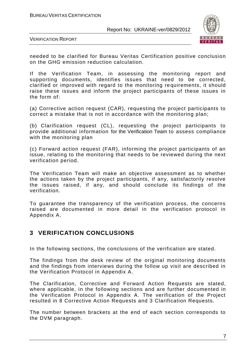

VERIFICATION REPORT

needed to be clarified for Bureau Veritas Certification positive conclusion on the GHG emission reduction calculation.

If the Verification Team, in assessing the monitoring report and supporting documents, identifies issues that need to be corrected, clarified or improved with regard to the monitoring re quirements, it should raise these issues and inform the project participants of these issues in the form of:

(a) Corrective action request (CAR), requesting the project participants to correct a mistake that is not in accordance with the monitoring plan;

(b) Clarification request (CL), requesting the project participants to provide additional information for the Verification Team to assess compliance with the monitoring plan

(c) Forward action request (FAR), informing the project participants of an issue, relating to the monitoring that needs to be reviewed during the next verification period.

The Verification Team will make an objective assessment as to whether the actions taken by the project participants, if any, satisfactorily resolve the issues raised, if any, and should conclude its findings of the verification.

To guarantee the transparency of the verification process, the concerns raised are documented in more detail in the verification protocol in Appendix A.

# **3 VERIFICATION CONCLUSIONS**

In the following sections, the conclusions of the verification are stated.

The findings from the desk review of the original monitoring documents and the findings from interviews during the follow up visit are described in the Verification Protocol in Appendix A.

The Clarification, Corrective and Forward Action Requests are stated, where applicable, in the following sections and are further documented in the Verification Protocol in Appendix A. The verification of the Project resulted in 8 Corrective Action Requests and 3 Clarification Requests.

The number between brackets at the end of each section corresponds to the DVM paragraph.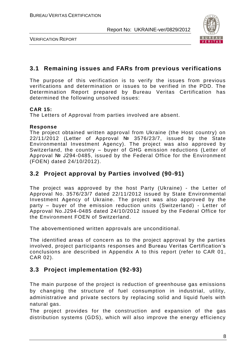

VERIFICATION REPORT

# **3.1 Remaining issues and FARs from previous verifications**

The purpose of this verification is to verify the issues from previous verifications and determination or issues to be verified in the PDD. The Determination Report prepared by Bureau Veritas Certification has determined the following unsolved issues:

## **CAR 15:**

The Letters of Approval from parties involved are absent.

## **Response**

The project obtained written approval from Ukraine (the Host country) on 22/11/2012 (Letter of Approval № 3576/23/7, issued by the State Environmental Investment Agency). The project was also approved by Switzerland, the country – buyer of GHG emission reductions (Letter of Approval № J294-0485, issued by the Federal Office for the Environment (FOEN) dated 24/10/2012).

# **3.2 Project approval by Parties involved (90-91)**

The project was approved by the host Party (Ukraine) - the Letter of Approval No. 3576/23/7 dated 22/11/2012 issued by State Environmental Investment Agency of Ukraine. The project was also approved by the party – buyer of the emission reduction units (Switzerland) - Letter of Approval No.J294-0485 dated 24/10/2012 issued by the Federal Office for the Environment FOEN of Switzerland.

The abovementioned written approvals are unconditional.

The identified areas of concern as to the project approval by the parties involved, project participants responses and Bureau Veritas Certification's conclusions are described in Appendix A to this report (refer to CAR 01 , CAR 02).

# **3.3 Project implementation (92-93)**

The main purpose of the project is reduction of greenhouse gas emissions by changing the structure of fuel consumption in industrial, utility, administrative and private sectors by replacing solid and liquid fuels with natural gas.

The project provides for the construction and expansion of the gas distribution systems (GDS), which will also improve the energy efficiency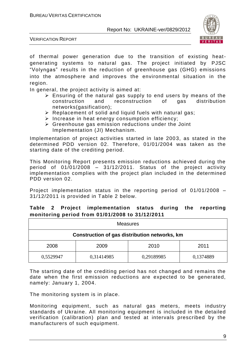

VERIFICATION REPORT

of thermal power generation due to the transition of existing heatgenerating systems to natural gas. The project initiated by PJSC "Volyngas" results in the reduction of greenhouse gas (GHG) emissions into the atmosphere and improves the environmental situation in the region.

In general, the project activity is aimed at:

- $\triangleright$  Ensuring of the natural gas supply to end users by means of the construction and reconstruction of gas distribution networks(gasification);
- $\triangleright$  Replacement of solid and liquid fuels with natural gas;
- $\triangleright$  Increase in heat energy consumption efficiency;
- $\triangleright$  Greenhouse gas emission reductions under the Joint Implementation (JI) Mechanism.

Implementation of project activities started in late 2003, as stated in the determined PDD version 02. Therefore, 01/01/2004 was taken as the starting date of the crediting period.

This Monitoring Report presents emission reductions achieved during the period of 01/01/2008 – 31/12/2011. Status of the project activity implementation complies with the project plan included in the determined PDD version 02.

Project implementation status in the reporting period of 01/01/2008 – 31/12/2011 is provided in Table 2 below.

| <b>Measures</b>                               |            |            |           |  |
|-----------------------------------------------|------------|------------|-----------|--|
| Construction of gas distribution networks, km |            |            |           |  |
| 2008<br>2011<br>2009<br>2010                  |            |            |           |  |
| 0,5529947                                     | 0,31414985 | 0,29189985 | 0,1374889 |  |

## **Table 2 Project implementation status during the reporting monitoring period from 01/01/2008 to 31/12/2011**

The starting date of the crediting period has not changed and remains the date when the first emission reductions are expected to be generated, namely: January 1, 2004.

The monitoring system is in place.

Monitoring equipment, such as natural gas meters, meets industry standards of Ukraine. All monitoring equipment is included in the detailed verification (calibration) plan and tested at intervals prescribed by the manufacturers of such equipment.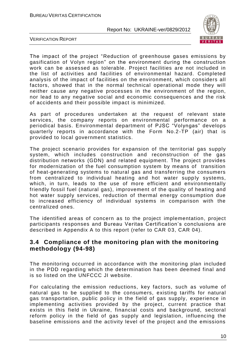

VERIFICATION REPORT

The impact of the project "Reduction of greenhouse gases emissions by gasification of Volyn region" on the environment during the construction work can be assessed as tolerable. Project facilities are not included in the list of activities and facilities of environmental hazard. Completed analysis of the impact of facilities on the environment, which considers all factors, showed that in the normal technical operational mode they will neither cause any negative processes in the environment of the region, nor lead to any negative social and economic consequences and the risk of accidents and their possible impact is minimized.

As part of procedures undertaken at the request of relevant state services, the company reports on environmental performance on a periodical basis. Environmental department of PJSC "Volyngas" develops quarterly reports in accordance with the Form No.2-TP (air) that is provided to local government statistics.

The project scenario provides for expansion of the territorial gas supply system, which includes construction and reconstruction of the gas distribution networks (GDN) and related equipment. The project provides for modernization of the fuel consumption system by means of transition of heat-generating systems to natural gas and transferring the consumers from centralized to individual heating and hot water supply systems, which, in turn, leads to the use of more efficient and environmentally friendly fossil fuel (natural gas), improvement of the quality of heating and hot water supply services, reduction of thermal energy consumption due to increased efficiency of individual systems in comparison with the centralized ones.

The identified areas of concern as to the project implementation, project participants responses and Bureau Veritas Certification's conclusions are described in Appendix A to this report (refer to CAR 03, CAR 04).

# **3.4 Compliance of the monitoring plan with the monitoring methodology (94-98)**

The monitoring occurred in accordance with the monitoring plan included in the PDD regarding which the determination has been deemed final and is so listed on the UNFCCC JI website.

For calculating the emission reductions, key factors, such as volume of natural gas to be supplied to the consumers, existing tariffs for natural gas transportation, public policy in the field of gas supply, experience in implementing activities provided by the project, current practice that exists in this field in Ukraine, financial costs and background, sectoral reform policy in the field of gas supply and legislation, influencing the baseline emissions and the activity level of the project and the emissions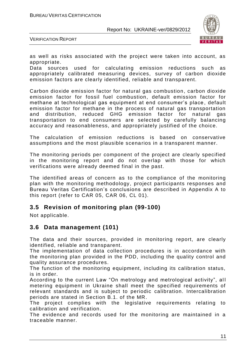

VERIFICATION REPORT

as well as risks associated with the project were taken into account, as appropriate.

Data sources used for calculating emission reductions such as appropriately calibrated measuring devices, survey of carbon dioxide emission factors are clearly identified, reliable and transparent.

Carbon dioxide emission factor for natural gas combustion, carbon dioxide emission factor for fossil fuel combustion, default emission factor for methane at technological gas equipment at end consumer's place , default emission factor for methane in the process of natural gas transportation and distribution, reduced GHG emission factor for natural gas transportation to end consumers are selected by carefully balancing accuracy and reasonableness, and appropriately justified of the choice.

The calculation of emission reductions is based on conservative assumptions and the most plausible scenarios in a transparent manner.

The monitoring periods per component of the project are clearly specified in the monitoring report and do not overlap with those for which verifications were already deemed final in the past.

The identified areas of concern as to the compliance of the monitoring plan with the monitoring methodology, project participants responses and Bureau Veritas Certification's conclusions are described in Appendix A to this report (refer to CAR 05, CAR 06, CL 01).

## **3.5 Revision of monitoring plan (99-100)**

Not applicable.

## **3.6 Data management (101)**

The data and their sources, provided in monitoring report, are clearly identified, reliable and transparent.

The implementation of data collection procedures is in accordance with the monitoring plan provided in the PDD, including the quality control and quality assurance procedures.

The function of the monitoring equipment, including its calibration status, is in order.

According to the current Law "On metrology and metrological activity", all metering equipment in Ukraine shall meet the specified requirements of relevant standards and is subject to periodic calibration. Intercalibration periods are stated in Section B.1. of the MR.

The project complies with the legislative requirements relating to calibration and verification.

The evidence and records used for the monitoring are maintained in a traceable manner.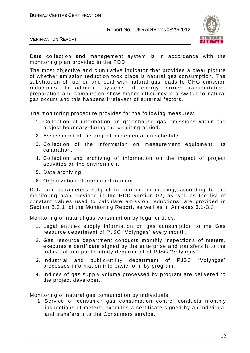

VERIFICATION REPORT

Data collection and management system is in accordance with the monitoring plan provided in the PDD.

The most objective and cumulative indicator that provides a clear picture of whether emission reduction took place is natural gas consumption. The substitution of fuel oil and coal with natural gas leads to GHG emission reductions. In addition, systems of energy carrier transportation, preparation and combustion show higher efficiency if a switch to natural gas occurs and this happens irrelevant of external factors.

The monitoring procedure provides for the following measures:

- 1. Collection of information on greenhouse gas emissions within the project boundary during the crediting period.
- 2. Assessment of the project implementation schedule.
- 3. Collection of the information on measurement equipment, its calibration.
- 4. Collection and archiving of information on the impact of project activities on the environment.
- 5. Data archiving.
- 6. Organization of personnel training.

Data and parameters subject to periodic monitoring, according to the monitoring plan provided in the PDD version 02, as well as the list of constant values used to calculate emission reductions, are provided in Section B.2.1. of the Monitoring Report, as well as in Annexes 3.1-3.3.

Monitoring of natural gas consumption by legal entities.

- 1. Legal entities supply information on gas consumption to the Gas resource department of PJSC "Volyngas" every month.
- 2. Gas resource department conducts monthly inspections of meters, executes a certificate signed by the enterprise and transfers it to the Industrial and public-utility department of PJSC "Volyngas".
- 3. Industrial and public-utility department of PJSC "Volyngas" processes information into basic form by program.
- 4. Indices of gas supply volume processed by program are delivered to the project developer.

Monitoring of natural gas consumption by individuals.

1. Service of consumer gas consumption control conducts monthly inspections of meters, executes a certificate signed by an individual and transfers it to the Consumers service.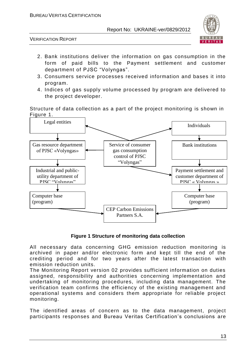

VERIFICATION REPORT

- 2. Bank institutions deliver the information on gas consumption in the form of paid bills to the Payment settlement and customer department of PJSC "Volyngas".
- 3. Consumers service processes received information and bases it into program.
- 4. Indices of gas supply volume processed by program are delivered to the project developer.

Structure of data collection as a part of the project monitoring is shown in Figure 1.



## **Figure 1 Structure of monitoring data collection**

All necessary data concerning GHG emission reduction monitoring is archived in paper and/or electronic form and kept till the end of the crediting period and for two years after the latest transaction with emission reduction units.

The Monitoring Report version 02 provides sufficient information on duties assigned, responsibility and authorities concerning implementation and undertaking of monitoring procedures, including data management. The verification team confirms the efficiency of the existing management and operational systems and considers them appropriate for reliable project monitoring.

The identified areas of concern as to the data management, project participants responses and Bureau Veritas Certification's conclusions are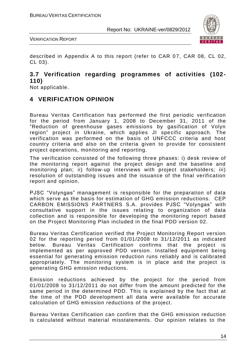

VERIFICATION REPORT

described in Appendix A to this report (refer to CAR 07, CAR 08, CL 02, CL 03).

## **3.7 Verification regarding programmes of activities (102- 110)**

Not applicable.

# **4 VERIFICATION OPINION**

Bureau Veritas Certification has performed the first periodic verification for the period from January 1, 2008 to December 31, 2011 of the "Reduction of greenhouse gases emissions by gasification of Volyn region" project in Ukraine, which applies JI specific approach. The verification was performed on the basis of UNFCCC criteria and host country criteria and also on the criteria given to provide for consistent project operations, monitoring and reporting.

The verification consisted of the following three phases: i) desk review of the monitoring report against the project design and the baseline and monitoring plan; ii) follow-up interviews with project stakeholders; iii) resolution of outstanding issues and the issuance of the final verification report and opinion.

PJSC "Volyngas" management is responsible for the preparation of data which serve as the basis for estimation of GHG emission reductions. CEP CARBON EMISSIONS PARTNERS S.A. provides PJSC "Volyngas" with consultative support in the issues relating to organization of data collection and is responsible for developing the monitoring report based on the Project Monitoring Plan included in the final PDD version 02.

Bureau Veritas Certification verified the Project Monitoring Report version 02 for the reporting period from 01/01/2008 to 31/12/2011 as indicated below. Bureau Veritas Certification confirms that the project is implemented as per approved PDD version. Installed equipment being essential for generating emission reduction runs reliably and is calibrated appropriately. The monitoring system is in place and the project is generating GHG emission reductions.

Emission reductions achieved by the project for the period from 01/01/2008 to 31/12/2011 do not differ from the amount predicted for the same period in the determined PDD. This is explained by the fact that at the time of the PDD development all data were available for accurate calculation of GHG emission reductions of the project.

Bureau Veritas Certification can confirm that the GHG emission reduction is calculated without material misstatements. Our opinion relates to the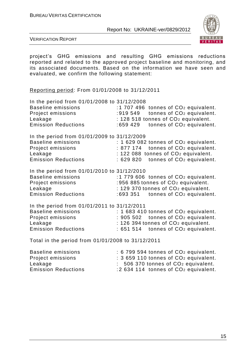

VERIFICATION REPORT

project's GHG emissions and resulting GHG emissions reductions reported and related to the approved project baseline and monitoring, and its associated documents. Based on the information we have seen and evaluated, we confirm the following statement:

Reporting period: From 01/01/2008 to 31/12/2011

| In the period from 01/01/2008 to 31/12/2008<br><b>Baseline emissions</b><br>Project emissions<br>Leakage<br><b>Emission Reductions</b> | :1 707 496 tonnes of CO <sub>2</sub> equivalent.<br>:919 549 tonnes of CO <sub>2</sub> equivalent.<br>: 128 518 tonnes of CO <sub>2</sub> equivalent.<br>tonnes of CO <sub>2</sub> equivalent.<br>:659 429 |
|----------------------------------------------------------------------------------------------------------------------------------------|------------------------------------------------------------------------------------------------------------------------------------------------------------------------------------------------------------|
| In the period from 01/01/2009 to 31/12/2009<br><b>Baseline emissions</b><br>Project emissions<br>Leakage<br><b>Emission Reductions</b> | $: 1629082$ tonnes of $CO2$ equivalent.<br>: 877 174 tonnes of CO <sub>2</sub> equivalent.<br>: 122 088 tonnes of CO <sub>2</sub> equivalent.<br>$: 629820$ tonnes of $CO2$ equivalent.                    |
| In the period from 01/01/2010 to 31/12/2010<br>Baseline emissions<br>Project emissions<br>Leakage<br><b>Emission Reductions</b>        | $:1779606$ tonnes of $CO2$ equivalent.<br>:956 885 tonnes of CO <sub>2</sub> equivalent.<br>: 129 370 tonnes of CO <sub>2</sub> equivalent.<br>$:693351$ tonnes of $CO2$ equivalent.                       |
| In the period from 01/01/2011 to 31/12/2011<br><b>Baseline emissions</b><br>Project emissions<br>Leakage<br><b>Emission Reductions</b> | $: 1683410$ tonnes of $CO2$ equivalent.<br>: 905 502 tonnes of CO <sub>2</sub> equivalent.<br>: 126 394 tonnes of CO <sub>2</sub> equivalent.<br>$: 651514$ tonnes of $CO2$ equivalent.                    |

Total in the period from 01/01/2008 to 31/12/2011

| Baseline emissions         | $: 6799594$ tonnes of $CO2$ equivalent. |
|----------------------------|-----------------------------------------|
| Project emissions          | $: 3659110$ tonnes of $CO2$ equivalent. |
| Leakage                    | $: 506370$ tonnes of $CO2$ equivalent.  |
| <b>Emission Reductions</b> | $: 2634114$ tonnes of $CO2$ equivalent. |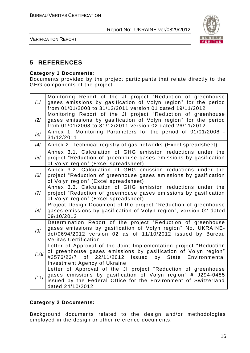

VERIFICATION REPORT

# **5 REFERENCES**

### **Category 1 Documents:**

Documents provided by the project participants that relate directly to the GHG components of the project.

| /1/  | Monitoring Report of the JI project "Reduction of greenhouse<br>gases emissions by gasification of Volyn region" for the period<br>from 01/01/2008 to 31/12/2011 version 01 dated 19/11/2012                                                     |
|------|--------------------------------------------------------------------------------------------------------------------------------------------------------------------------------------------------------------------------------------------------|
| /2/  | Monitoring Report of the JI project "Reduction of greenhouse<br>gases emissions by gasification of Volyn region" for the period<br>from 01/01/2008 to 31/12/2011 version 02 dated 26/11/2012                                                     |
| /3/  | Annex 1. Monitoring Parameters for the period of 01/01/2008 -<br>31/12/2011                                                                                                                                                                      |
| /4/  | Annex 2. Technical registry of gas networks (Excel spreadsheet)                                                                                                                                                                                  |
| /5/  | Annex 3.1. Calculation of GHG emission reductions under the<br>project "Reduction of greenhouse gases emissions by gasification<br>of Volyn region" (Excel spreadsheet)                                                                          |
| /6/  | Annex 3.2. Calculation of GHG emission reductions under the<br>project "Reduction of greenhouse gases emissions by gasification<br>of Volyn region" (Excel spreadsheet)                                                                          |
| /7/  | Annex 3.3. Calculation of GHG emission reductions under the<br>project "Reduction of greenhouse gases emissions by gasification<br>of Volyn region" (Excel spreadsheet)                                                                          |
| /8/  | Project Design Document of the project "Reduction of greenhouse<br>gases emissions by gasification of Volyn region", version 02 dated<br>09/10/2012                                                                                              |
| /9/  | Determination Report of the project "Reduction of greenhouse<br>gases emissions by gasification of Volyn region" No. UKRAINE-<br>det/0694/2012 version 02 as of 11/10/2012 issued by Bureau<br><b>Veritas Certification</b>                      |
| /10/ | Letter of Approval of the Joint Implementation project "Reduction<br>of greenhouse gases emissions by gasification of Volyn region"<br>22/11/2012<br>issued by State<br>#3576/23/7<br>of<br>Environmental<br><b>Investment Agency of Ukraine</b> |
| /11/ | Letter of Approval of the JI project "Reduction of greenhouse<br>gases emissions by gasification of Volyn region" # J294-0485<br>issued by the Federal Office for the Environment of Switzerland<br>dated 24/10/2012                             |

## **Category 2 Documents:**

Background documents related to the design and/or methodologies employed in the design or other reference documents.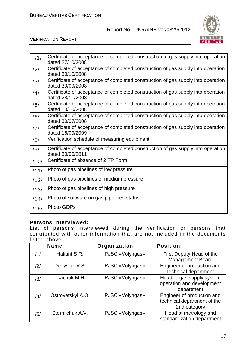

#### VERIFICATION REPORT

| /1/  | Certificate of acceptance of completed construction of gas supply into operation<br>dated 27/10/2008 |
|------|------------------------------------------------------------------------------------------------------|
| /2/  | Certificate of acceptance of completed construction of gas supply into operation<br>dated 30/10/2008 |
| /3/  | Certificate of acceptance of completed construction of gas supply into operation<br>dated 30/09/2008 |
| /4/  | Certificate of acceptance of completed construction of gas supply into operation<br>dated 28/11/2008 |
| /5/  | Certificate of acceptance of completed construction of gas supply into operation<br>dated 10/10/2008 |
| /6/  | Certificate of acceptance of completed construction of gas supply into operation<br>dated 30/07/2008 |
| /7/  | Certificate of acceptance of completed construction of gas supply into operation<br>dated 16/09/2009 |
| /8/  | Verification schedule of measuring equipment                                                         |
| /9/  | Certificate of acceptance of completed construction of gas supply into operation<br>dated 30/06/2011 |
| /10/ | Certificate of absence of 2 TP Form                                                                  |
| /11/ | Photo of gas pipelines of low pressure                                                               |
| /12/ | Photo of gas pipelines of medium pressure                                                            |
| /13/ | Photo of gas pipelines of high pressure                                                              |
| /14/ | Photo of software on gas pipelines status                                                            |
| /15/ | <b>Photo GDPs</b>                                                                                    |

#### **Persons interviewed:**

List of persons interviewed during the verification or persons that contributed with other information that are not included in the documents listed above.

|     | <b>Name</b>       | Organization    | <b>Position</b>                                                           |
|-----|-------------------|-----------------|---------------------------------------------------------------------------|
| /1/ | Haliant S.R.      | PJSC «Volyngas» | First Deputy Head of the<br><b>Management Board</b>                       |
| /2/ | Denysiuk V.S.     | PJSC «Volyngas» | Engineer of production and<br>technical department                        |
| /3/ | Tkachuk M.H.      | PJSC «Volyngas» | Head of gas supply system<br>operation and development<br>department      |
| /4/ | Ostrovetskyi A.O. | PJSC «Volyngas» | Engineer of production and<br>technical department of the<br>2nd category |
| /5/ | Sterniichuk A.V.  | PJSC «Volyngas» | Head of metrology and<br>standardization department                       |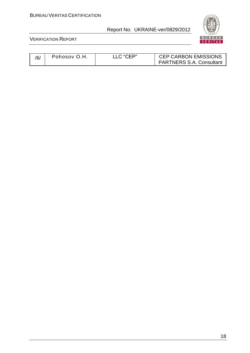

| /6/ | Pohosov O.H | LLC "CEP" | <b>CEP CARBON EMISSIONS</b><br><b>PARTNERS S.A. Consultant</b> |
|-----|-------------|-----------|----------------------------------------------------------------|
|-----|-------------|-----------|----------------------------------------------------------------|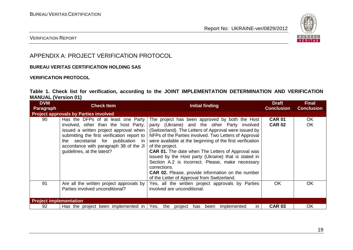

## VERIFICATION REPORT

# APPENDIX A: PROJECT VERIFICATION PROTOCOL

### **BUREAU VERITAS CERTIFICATION HOLDING SAS**

#### **VERIFICATION PROTOCOL**

## **Table 1. Check list for verification, according to the JOINT IMPLEMENTATION DETERMINATION AND VERIFICATION MANUAL (Version 01)**

| <b>DVM</b><br><b>Paragraph</b> | <b>Check Item</b>                                                                                                                                                                                                                                                                    | Initial finding                                                                                                                                                                                                                                                                                                                                                                                                                                                                                                                                                                                     | <b>Draft</b><br><b>Conclusion</b> | <b>Final</b><br><b>Conclusion</b> |  |  |
|--------------------------------|--------------------------------------------------------------------------------------------------------------------------------------------------------------------------------------------------------------------------------------------------------------------------------------|-----------------------------------------------------------------------------------------------------------------------------------------------------------------------------------------------------------------------------------------------------------------------------------------------------------------------------------------------------------------------------------------------------------------------------------------------------------------------------------------------------------------------------------------------------------------------------------------------------|-----------------------------------|-----------------------------------|--|--|
|                                | <b>Project approvals by Parties involved</b>                                                                                                                                                                                                                                         |                                                                                                                                                                                                                                                                                                                                                                                                                                                                                                                                                                                                     |                                   |                                   |  |  |
| 90                             | Has the DFPs of at least one Party<br>involved, other than the host Party,<br>issued a written project approval when<br>submitting the first verification report to<br>secretariat for publication in<br>the<br>accordance with paragraph 38 of the JI<br>guidelines, at the latest? | The project has been approved by both the Host<br>party (Ukraine) and the other Party involved<br>(Switzerland). The Letters of Approval were issued by<br>NFPs of the Parties involved. Two Letters of Approval<br>were available at the beginning of the first verification<br>of the project.<br><b>CAR 01.</b> The date when The Letters of Approval was<br>issued by the Host party (Ukraine) that is stated in<br>Section A.2 is incorrect. Please, make necessary<br>corrections.<br><b>CAR 02.</b> Please, provide information on the number<br>of the Letter of Approval from Switzerland. | <b>CAR 01</b><br><b>CAR 02</b>    | OK.<br>OK                         |  |  |
| 91                             | Are all the written project approvals by<br>Parties involved unconditional?                                                                                                                                                                                                          | Yes, all the written project approvals by Parties<br>involved are unconditional.                                                                                                                                                                                                                                                                                                                                                                                                                                                                                                                    | <b>OK</b>                         | <b>OK</b>                         |  |  |
| <b>Project implementation</b>  |                                                                                                                                                                                                                                                                                      |                                                                                                                                                                                                                                                                                                                                                                                                                                                                                                                                                                                                     |                                   |                                   |  |  |
| 92                             | Has the project been implemented in Yes, the                                                                                                                                                                                                                                         | project has been<br>implemented<br>$\mathsf{I}$                                                                                                                                                                                                                                                                                                                                                                                                                                                                                                                                                     | <b>CAR 03</b>                     | OK                                |  |  |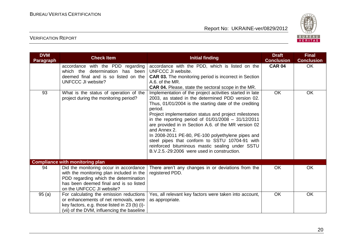

| <b>DVM</b><br><b>Paragraph</b> | <b>Check Item</b>                                                                                                                                                                                  | <b>Initial finding</b>                                                                                                                                                                                                                                                                                                                                                                                                                                                                                                                                                              | <b>Draft</b><br><b>Conclusion</b> | <b>Final</b><br><b>Conclusion</b> |
|--------------------------------|----------------------------------------------------------------------------------------------------------------------------------------------------------------------------------------------------|-------------------------------------------------------------------------------------------------------------------------------------------------------------------------------------------------------------------------------------------------------------------------------------------------------------------------------------------------------------------------------------------------------------------------------------------------------------------------------------------------------------------------------------------------------------------------------------|-----------------------------------|-----------------------------------|
|                                | accordance with the PDD regarding<br>which the determination has been<br>deemed final and is so listed on the<br>UNFCCC JI website?                                                                | accordance with the PDD, which is listed on the<br>UNFCCC JI website.<br>CAR 03. The monitoring period is incorrect in Section<br>A.6. of the MR.<br><b>CAR 04.</b> Please, state the sectoral scope in the MR.                                                                                                                                                                                                                                                                                                                                                                     | <b>CAR 04</b>                     | <b>OK</b>                         |
| 93                             | What is the status of operation of the<br>project during the monitoring period?                                                                                                                    | Implementation of the project activities started in late<br>2003, as stated in the determined PDD version 02.<br>Thus, 01/01/2004 is the starting date of the crediting<br>period.<br>Project implementation status and project milestones<br>in the reporting period of $01/01/2008 - 31/12/2011$<br>are provided in in Section A.6. of the MR version 02<br>and Annex 2.<br>In 2008-2011 PE-80, PE-100 polyethylene pipes and<br>steel pipes that conform to SSTU 10704-91 with<br>reinforced bituminous mastic sealing under SSTU<br>B.V.2.5.-29:2006 were used in construction. | <b>OK</b>                         | <b>OK</b>                         |
|                                | <b>Compliance with monitoring plan</b>                                                                                                                                                             |                                                                                                                                                                                                                                                                                                                                                                                                                                                                                                                                                                                     |                                   |                                   |
| 94                             | Did the monitoring occur in accordance<br>with the monitoring plan included in the<br>PDD regarding which the determination<br>has been deemed final and is so listed<br>on the UNFCCC JI website? | There aren't any changes in or deviations from the<br>registered PDD.                                                                                                                                                                                                                                                                                                                                                                                                                                                                                                               | <b>OK</b>                         | <b>OK</b>                         |
| 95(a)                          | For calculating the emission reductions<br>or enhancements of net removals, were<br>key factors, e.g. those listed in 23 (b) (i)-<br>(vii) of the DVM, influencing the baseline                    | Yes, all relevant key factors were taken into account,<br>as appropriate.                                                                                                                                                                                                                                                                                                                                                                                                                                                                                                           | <b>OK</b>                         | <b>OK</b>                         |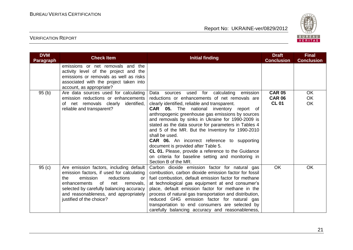

| <b>DVM</b><br><b>Paragraph</b> | <b>Check Item</b>                                                                                                                                                                                                                                                                      | <b>Initial finding</b>                                                                                                                                                                                                                                                                                                                                                                                                                                                                                                                                                                                                                                                        | <b>Draft</b><br><b>Conclusion</b>              | <b>Final</b><br><b>Conclusion</b> |
|--------------------------------|----------------------------------------------------------------------------------------------------------------------------------------------------------------------------------------------------------------------------------------------------------------------------------------|-------------------------------------------------------------------------------------------------------------------------------------------------------------------------------------------------------------------------------------------------------------------------------------------------------------------------------------------------------------------------------------------------------------------------------------------------------------------------------------------------------------------------------------------------------------------------------------------------------------------------------------------------------------------------------|------------------------------------------------|-----------------------------------|
|                                | emissions or net removals and the<br>activity level of the project and the<br>emissions or removals as well as risks<br>associated with the project taken into<br>account, as appropriate?                                                                                             |                                                                                                                                                                                                                                                                                                                                                                                                                                                                                                                                                                                                                                                                               |                                                |                                   |
| 95(b)                          | Are data sources used for calculating<br>emission reductions or enhancements<br>of net removals clearly identified,<br>reliable and transparent?                                                                                                                                       | Data sources used for calculating<br>emission<br>reductions or enhancements of net removals are<br>clearly identified, reliable and transparent.<br><b>CAR</b> 05. The national inventory report of<br>anthropogenic greenhouse gas emissions by sources<br>and removals by sinks in Ukraine for 1990-2009 is<br>stated as the data source for parameters in Tables 4<br>and 5 of the MR. But the Inventory for 1990-2010<br>shall be used.<br><b>CAR 06.</b> An incorrect reference to supporting<br>document is provided after Table 5.<br>CL 01. Please, provide a reference to the Guidance<br>on criteria for baseline setting and monitoring in<br>Section B of the MR. | <b>CAR 05</b><br><b>CAR 06</b><br><b>CL 01</b> | <b>OK</b><br><b>OK</b><br>OK      |
| 95(c)                          | Are emission factors, including default<br>emission factors, if used for calculating<br>the<br>emission<br>reductions<br>or<br>of<br>enhancements<br>net<br>removals,<br>selected by carefully balancing accuracy<br>and reasonableness, and appropriately<br>justified of the choice? | Carbon dioxide emission factor for natural gas<br>combustion, carbon dioxide emission factor for fossil<br>fuel combustion, default emission factor for methane<br>at technological gas equipment at end consumer's<br>place, default emission factor for methane in the<br>process of natural gas transportation and distribution,<br>reduced GHG emission factor for natural gas<br>transportation to end consumers are selected by<br>carefully balancing accuracy and reasonableness,                                                                                                                                                                                     | <b>OK</b>                                      | <b>OK</b>                         |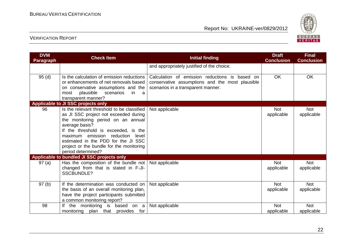

| <b>DVM</b><br>Paragraph | <b>Check Item</b>                                                                                                                                                                                                                                                                                                                         | <b>Initial finding</b>                                                                                                                  | <b>Draft</b><br><b>Conclusion</b> | <b>Final</b><br><b>Conclusion</b> |
|-------------------------|-------------------------------------------------------------------------------------------------------------------------------------------------------------------------------------------------------------------------------------------------------------------------------------------------------------------------------------------|-----------------------------------------------------------------------------------------------------------------------------------------|-----------------------------------|-----------------------------------|
|                         |                                                                                                                                                                                                                                                                                                                                           | and appropriately justified of the choice.                                                                                              |                                   |                                   |
| 95(d)                   | Is the calculation of emission reductions<br>or enhancements of net removals based<br>on conservative assumptions and the<br>plausible<br>scenarios<br>most<br>-in<br>- a<br>transparent manner?                                                                                                                                          | Calculation of emission reductions is based on<br>conservative assumptions and the most plausible<br>scenarios in a transparent manner. | <b>OK</b>                         | OK                                |
|                         | Applicable to JI SSC projects only                                                                                                                                                                                                                                                                                                        |                                                                                                                                         |                                   |                                   |
| 96                      | Is the relevant threshold to be classified<br>as JI SSC project not exceeded during<br>the monitoring period on an annual<br>average basis?<br>If the threshold is exceeded, is the<br>emission<br>reduction<br>maximum<br>level<br>estimated in the PDD for the JI SSC<br>project or the bundle for the monitoring<br>period determined? | Not applicable                                                                                                                          | <b>Not</b><br>applicable          | <b>Not</b><br>applicable          |
|                         | Applicable to bundled JI SSC projects only                                                                                                                                                                                                                                                                                                |                                                                                                                                         |                                   |                                   |
| 97(a)                   | Has the composition of the bundle not $ $<br>changed from that is stated in F-JI-<br><b>SSCBUNDLE?</b>                                                                                                                                                                                                                                    | Not applicable                                                                                                                          | <b>Not</b><br>applicable          | <b>Not</b><br>applicable          |
| 97(b)                   | If the determination was conducted on<br>the basis of an overall monitoring plan,<br>have the project participants submitted<br>a common monitoring report?                                                                                                                                                                               | Not applicable                                                                                                                          | <b>Not</b><br>applicable          | <b>Not</b><br>applicable          |
| 98                      | If the monitoring is based on a<br>monitoring<br>plan that provides for                                                                                                                                                                                                                                                                   | Not applicable                                                                                                                          | <b>Not</b><br>applicable          | <b>Not</b><br>applicable          |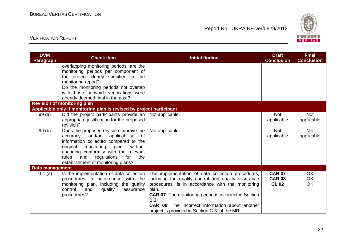

| <b>DVM</b><br><b>Paragraph</b> | <b>Check Item</b>                                                                  | <b>Initial finding</b>                                                                                   | <b>Draft</b><br><b>Conclusion</b> | <b>Final</b><br><b>Conclusion</b> |
|--------------------------------|------------------------------------------------------------------------------------|----------------------------------------------------------------------------------------------------------|-----------------------------------|-----------------------------------|
|                                | overlapping monitoring periods, are the<br>monitoring periods per component of     |                                                                                                          |                                   |                                   |
|                                | the project clearly specified in the                                               |                                                                                                          |                                   |                                   |
|                                | monitoring report?                                                                 |                                                                                                          |                                   |                                   |
|                                | Do the monitoring periods not overlap                                              |                                                                                                          |                                   |                                   |
|                                | with those for which verifications were                                            |                                                                                                          |                                   |                                   |
|                                | already deemed final in the past?                                                  |                                                                                                          |                                   |                                   |
|                                | <b>Revision of monitoring plan</b>                                                 |                                                                                                          |                                   |                                   |
|                                | Applicable only if monitoring plan is revised by project participant               |                                                                                                          |                                   |                                   |
| 99(a)                          | Did the project participants provide an   Not applicable.                          |                                                                                                          | <b>Not</b>                        | <b>Not</b>                        |
|                                | appropriate justification for the proposed<br>revision?                            |                                                                                                          | applicable                        | applicable                        |
| 99(b)                          | Does the proposed revision improve the                                             | Not applicable                                                                                           | <b>Not</b>                        | <b>Not</b>                        |
|                                | and/or<br>applicability<br>of<br>accuracy                                          |                                                                                                          | applicable                        | applicable                        |
|                                | information collected compared to the                                              |                                                                                                          |                                   |                                   |
|                                | without<br>original<br>monitoring<br>plan                                          |                                                                                                          |                                   |                                   |
|                                | changing conformity with the relevant<br>for<br>the<br>rules<br>and<br>regulations |                                                                                                          |                                   |                                   |
|                                | establishment of monitoring plans?                                                 |                                                                                                          |                                   |                                   |
| <b>Data management</b>         |                                                                                    |                                                                                                          |                                   |                                   |
| 101 $(a)$                      | Is the implementation of data collection                                           | The implementation of data collection procedures,                                                        | <b>CAR 07</b>                     | <b>OK</b>                         |
|                                | procedures in accordance with the                                                  | including the quality control and quality assurance                                                      | <b>CAR 08</b>                     | OK                                |
|                                | monitoring plan, including the quality                                             | procedures, is in accordance with the monitoring                                                         | <b>CL 02</b>                      | OK                                |
|                                | control<br>and<br>quality<br>assurance                                             | plan.                                                                                                    |                                   |                                   |
|                                | procedures?                                                                        | <b>CAR 07.</b> The monitoring period is incorrect in Section                                             |                                   |                                   |
|                                |                                                                                    | B.3.                                                                                                     |                                   |                                   |
|                                |                                                                                    | <b>CAR 08.</b> The incorrect information about another<br>project is provided in Section C.3. of the MR. |                                   |                                   |
|                                |                                                                                    |                                                                                                          |                                   |                                   |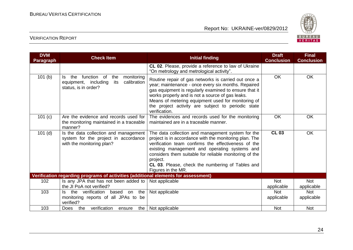

| <b>DVM</b><br><b>Paragraph</b> | <b>Check Item</b>                                                                                                    | <b>Initial finding</b>                                                                                                                                                                                                                                                                                                                                              | <b>Draft</b><br><b>Conclusion</b> | <b>Final</b><br><b>Conclusion</b> |
|--------------------------------|----------------------------------------------------------------------------------------------------------------------|---------------------------------------------------------------------------------------------------------------------------------------------------------------------------------------------------------------------------------------------------------------------------------------------------------------------------------------------------------------------|-----------------------------------|-----------------------------------|
|                                |                                                                                                                      | CL 02. Please, provide a reference to law of Ukraine<br>"On metrology and metrological activity".                                                                                                                                                                                                                                                                   |                                   |                                   |
| 101(b)                         | function of<br>the<br>the<br>monitoring<br>ls.<br>calibration<br>equipment, including<br>its<br>status, is in order? | Routine repair of gas networks is carried out once a<br>year; maintenance - once every six months. Repaired<br>gas equipment is regularly examined to ensure that it<br>works properly and is not a source of gas leaks.<br>Means of metering equipment used for monitoring of<br>the project activity are subject to periodic state<br>verification.               | OK                                | <b>OK</b>                         |
| 101 (c)                        | Are the evidence and records used for<br>the monitoring maintained in a traceable<br>manner?                         | The evidences and records used for the monitoring<br>maintained are in a traceable manner.                                                                                                                                                                                                                                                                          | OK                                | OK                                |
| $101$ (d)                      | Is the data collection and management<br>system for the project in accordance<br>with the monitoring plan?           | The data collection and management system for the<br>project is in accordance with the monitoring plan. The<br>verification team confirms the effectiveness of the<br>existing management and operating systems and<br>considers them suitable for reliable monitoring of the<br>project.<br>CL 03. Please, check the numbering of Tables and<br>Figures in the MR. | <b>CL 03</b>                      | OK                                |
|                                | Verification regarding programs of activities (additional elements for assessment)                                   |                                                                                                                                                                                                                                                                                                                                                                     |                                   |                                   |
| 102                            | Is any JPA that has not been added to                                                                                | Not applicable                                                                                                                                                                                                                                                                                                                                                      | <b>Not</b>                        | Not                               |
|                                | the JI PoA not verified?                                                                                             |                                                                                                                                                                                                                                                                                                                                                                     | applicable                        | applicable                        |
| 103                            | the verification<br>based on the<br>ls.<br>monitoring reports of all JPAs to be<br>verified?                         | Not applicable                                                                                                                                                                                                                                                                                                                                                      | <b>Not</b><br>applicable          | <b>Not</b><br>applicable          |
| 103                            | verification<br>the  <br><b>Does</b><br>the<br>ensure                                                                | Not applicable                                                                                                                                                                                                                                                                                                                                                      | <b>Not</b>                        | <b>Not</b>                        |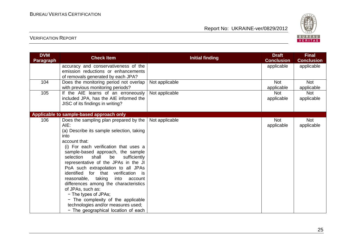

| <b>DVM</b><br><b>Paragraph</b> | <b>Check Item</b>                                                                                                                                                                                                                                                                                                                                                                                                                                                                                                                                                                                                     | <b>Initial finding</b> | <b>Draft</b><br><b>Conclusion</b> | <b>Final</b><br><b>Conclusion</b> |
|--------------------------------|-----------------------------------------------------------------------------------------------------------------------------------------------------------------------------------------------------------------------------------------------------------------------------------------------------------------------------------------------------------------------------------------------------------------------------------------------------------------------------------------------------------------------------------------------------------------------------------------------------------------------|------------------------|-----------------------------------|-----------------------------------|
|                                | accuracy and conservativeness of the<br>emission reductions or enhancements<br>of removals generated by each JPA?                                                                                                                                                                                                                                                                                                                                                                                                                                                                                                     |                        | applicable                        | applicable                        |
| 104                            | Does the monitoring period not overlap<br>with previous monitoring periods?                                                                                                                                                                                                                                                                                                                                                                                                                                                                                                                                           | Not applicable         | <b>Not</b><br>applicable          | <b>Not</b><br>applicable          |
| 105                            | If the AIE learns of an erroneously<br>included JPA, has the AIE informed the<br>JISC of its findings in writing?                                                                                                                                                                                                                                                                                                                                                                                                                                                                                                     | Not applicable         | <b>Not</b><br>applicable          | <b>Not</b><br>applicable          |
|                                | Applicable to sample-based approach only                                                                                                                                                                                                                                                                                                                                                                                                                                                                                                                                                                              |                        |                                   |                                   |
| 106                            | Does the sampling plan prepared by the<br>AIE:<br>(a) Describe its sample selection, taking<br>into<br>account that:<br>(i) For each verification that uses a<br>sample-based approach, the sample<br>selection<br>shall<br>be<br>sufficiently<br>representative of the JPAs in the JI<br>PoA such extrapolation to all JPAs<br>identified for that verification is<br>reasonable, taking<br>into<br>account<br>differences among the characteristics<br>of JPAs, such as:<br>- The types of JPAs;<br>- The complexity of the applicable<br>technologies and/or measures used;<br>- The geographical location of each | Not applicable         | <b>Not</b><br>applicable          | <b>Not</b><br>applicable          |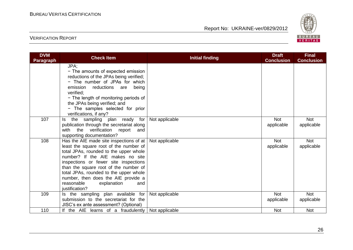

| <b>DVM</b><br><b>Paragraph</b> | <b>Check Item</b>                                                                                                                                                                                                                                                                                                                                                                        | <b>Initial finding</b> | <b>Draft</b><br><b>Conclusion</b> | <b>Final</b><br><b>Conclusion</b> |
|--------------------------------|------------------------------------------------------------------------------------------------------------------------------------------------------------------------------------------------------------------------------------------------------------------------------------------------------------------------------------------------------------------------------------------|------------------------|-----------------------------------|-----------------------------------|
|                                | JPA;<br>- The amounts of expected emission<br>reductions of the JPAs being verified;<br>- The number of JPAs for which<br>reductions<br>being<br>emission<br>are<br>verified:<br>- The length of monitoring periods of<br>the JPAs being verified; and<br>- The samples selected for prior<br>verifications, if any?                                                                     |                        |                                   |                                   |
| 107                            | the sampling plan ready for<br>ls.<br>publication through the secretariat along<br>with the<br>verification<br>report<br>and<br>supporting documentation?                                                                                                                                                                                                                                | Not applicable         | <b>Not</b><br>applicable          | <b>Not</b><br>applicable          |
| 108                            | Has the AIE made site inspections of at<br>least the square root of the number of<br>total JPAs, rounded to the upper whole<br>number? If the AIE makes no site<br>inspections or fewer site inspections<br>than the square root of the number of<br>total JPAs, rounded to the upper whole<br>number, then does the AIE provide a<br>reasonable<br>explanation<br>and<br>justification? | Not applicable         | <b>Not</b><br>applicable          | Not<br>applicable                 |
| 109                            | Is the sampling plan available for<br>submission to the secretariat for the<br>JISC's ex ante assessment? (Optional)                                                                                                                                                                                                                                                                     | Not applicable         | <b>Not</b><br>applicable          | <b>Not</b><br>applicable          |
| 110                            | If the AIE learns of a fraudulently                                                                                                                                                                                                                                                                                                                                                      | Not applicable         | <b>Not</b>                        | <b>Not</b>                        |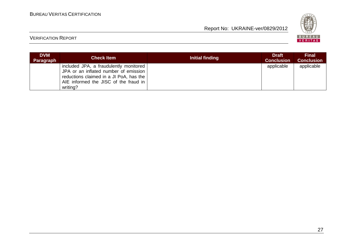

| <b>DVM</b><br>Paragraph | <b>Check Item</b>                                                                                                                                                               | Initial finding | <b>Draft</b><br><b>Conclusion</b> | <b>Final</b><br><b>Conclusion</b> |
|-------------------------|---------------------------------------------------------------------------------------------------------------------------------------------------------------------------------|-----------------|-----------------------------------|-----------------------------------|
|                         | included JPA, a fraudulently monitored<br>JPA or an inflated number of emission<br>reductions claimed in a JI PoA, has the<br>AIE informed the JISC of the fraud in<br>writing? |                 | applicable                        | applicable                        |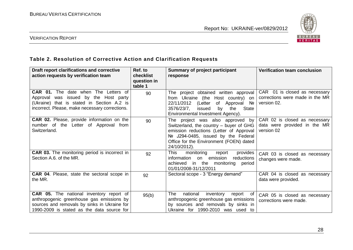

## VERIFICATION REPORT

# **Table 2. Resolution of Corrective Action and Clarification Requests**

| Draft report clarifications and corrective<br>action requests by verification team                                                                                                         | Ref. to<br>checklist<br>question in<br>table 1 | <b>Summary of project participant</b><br>response                                                                                                                                                                        | <b>Verification team conclusion</b>                                             |
|--------------------------------------------------------------------------------------------------------------------------------------------------------------------------------------------|------------------------------------------------|--------------------------------------------------------------------------------------------------------------------------------------------------------------------------------------------------------------------------|---------------------------------------------------------------------------------|
| <b>CAR 01.</b> The date when The Letters of<br>was issued by the Host party<br>Approval<br>(Ukraine) that is stated in Section A.2 is<br>incorrect. Please, make necessary corrections.    | 90                                             | The project obtained written approval<br>from Ukraine (the Host country) on<br>22/11/2012<br>(Letter<br>of Approval Nº<br>3576/23/7.<br>issued<br>by<br><b>State</b><br>the<br>Environmental Investment Agency).         | CAR 01 is closed as necessary<br>corrections were made in the MR<br>version 02. |
| <b>CAR 02.</b> Please, provide information on the<br>number of the Letter of Approval from<br>Switzerland.                                                                                 | 90                                             | The project was also approved by<br>Switzerland, the country - buyer of GHG<br>emission reductions (Letter of Approval<br>Nº J294-0485, issued by the Federal<br>Office for the Environment (FOEN) dated<br>24/10/2012). | CAR 02 is closed as necessary<br>data were provided in the MR<br>version 02     |
| <b>CAR 03.</b> The monitoring period is incorrect in<br>Section A.6. of the MR.                                                                                                            | 92                                             | <b>This</b><br>monitoring<br>provides<br>report<br>emission<br>reductions<br>information<br>on<br>achieved<br>in the monitoring period<br>01/01/2008-31/12/2011                                                          | CAR 03 is closed as necessary<br>changes were made.                             |
| <b>CAR 04.</b> Please, state the sectoral scope in<br>the MR.                                                                                                                              | 92                                             | Sectoral scope - 3 "Energy demand"                                                                                                                                                                                       | CAR 04 is closed as necessary<br>data were provided.                            |
| <b>CAR 05.</b> The national inventory report of<br>anthropogenic greenhouse gas emissions by<br>sources and removals by sinks in Ukraine for<br>1990-2009 is stated as the data source for | 95(b)                                          | national<br>The<br>inventory<br>report<br>0f<br>anthropogenic greenhouse gas emissions<br>by sources and removals by sinks in<br>Ukraine for 1990-2010 was used to                                                       | CAR 05 is closed as necessary<br>corrections were made.                         |